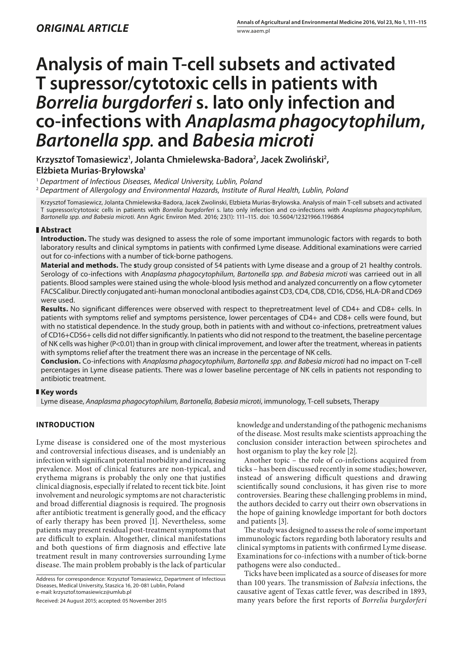# **Analysis of main T-cell subsets and activated T supressor/cytotoxic cells in patients with**  *Borrelia burgdorferi* **s. lato only infection and co-infections with** *Anaplasma phagocytophilum***,**  *Bartonella spp.* **and** *Babesia microti*

Krzysztof Tomasiewicz<sup>1</sup>, Jolanta Chmielewska-Badora<sup>2</sup>, Jacek Zwoliński<sup>2</sup>, **Elżbieta Murias-Bryłowska1**

<sup>1</sup> *Department of Infectious Diseases, Medical University, Lublin, Poland*

<sup>2</sup> *Department of Allergology and Environmental Hazards, Institute of Rural Health, Lublin, Poland*

Krzysztof Tomasiewicz, Jolanta Chmielewska-Badora, Jacek Zwolinski, Elzbieta Murias-Brylowska. Analysis of main T-cell subsets and activated T supressor/cytotoxic cells in patients with *Borrelia burgdorferi* s. lato only infection and co-infections with *Anaplasma phagocytophilum*, *Bartonella spp. and Babesia microti.* Ann Agric Environ Med. 2016; 23(1): 111–115. doi: 10.5604/12321966.1196864

# **Abstract**

**Introduction.** The study was designed to assess the role of some important immunologic factors with regards to both laboratory results and clinical symptoms in patients with confirmed Lyme disease. Additional examinations were carried out for co-infections with a number of tick-borne pathogens.

**Material and methods.** The **s**tudy group consisted of 54 patients with Lyme disease and a group of 21 healthy controls. Serology of co-infections with *Anaplasma phagocytophilum*, *Bartonella spp. and Babesia microti* was carrieed out in all patients. Blood samples were stained using the whole-blood lysis method and analyzed concurrently on a flow cytometer FACSCalibur. Directly conjugated anti-human monoclonal antibodies against CD3, CD4, CD8, CD16, CD56, HLA-DR and CD69 were used.

**Results.** No significant differences were observed with respect to thepretreatment level of CD4+ and CD8+ cells. In patients with symptoms relief and symptoms persistence, lower percentages of CD4+ and CD8+ cells were found, but with no statistical dependence. In the study group, both in patients with and without co-infections, pretreatment values of CD16+CD56+ cells did not differ significantly. In patients who did not respond to the treatment, the baseline percentage of NK cells was higher (P<0.01) than in group with clinical improvement, and lower after the treatment, whereas in patients with symptoms relief after the treatment there was an increase in the percentage of NK cells.

**Conclusion.** Co-infections with *Anaplasma phagocytophilum*, *Bartonella spp. and Babesia microti* had no impact on T-cell percentages in Lyme disease patients. There was *a* lower baseline percentage of NK cells in patients not responding to antibiotic treatment.

# **Key words**

Lyme disease, *Anaplasma phagocytophilum, Bartonella, Babesia microti*, immunology, T-cell subsets, Therapy

# **INTRODUCTION**

Lyme disease is considered one of the most mysterious and controversial infectious diseases, and is undeniably an infection with significant potential morbidity and increasing prevalence. Most of clinical features are non-typical, and erythema migrans is probably the only one that justifies clinical diagnosis, especially if related to recent tick bite. Joint involvement and neurologic symptoms are not characteristic and broad differential diagnosis is required. The prognosis after antibiotic treatment is generally good, and the efficacy of early therapy has been proved [1]. Nevertheless, some patients may present residual post-treatment symptoms that are difficult to explain. Altogether, clinical manifestations and both questions of firm diagnosis and effective late treatment result in many controversies surrounding Lyme disease. The main problem probably is the lack of particular

Address for correspondence: Krzysztof Tomasiewicz, Department of Infectious Diseases, Medical University, Staszica 16, 20-081 Lublin, Poland e-mail: krzysztof.tomasiewicz@umlub.pl

Received: 24 August 2015; accepted: 05 November 2015

knowledge and understanding of the pathogenic mechanisms of the disease. Most results make scientists approaching the conclusion consider interaction between spirochetes and host organism to play the key role [2].

Another topic – the role of co-infections acquired from ticks – has been discussed recently in some studies; however, instead of answering difficult questions and drawing scientifically sound conclusions, it has given rise to more controversies. Bearing these challenging problems in mind, the authors decided to carry out theirr own observations in the hope of gaining knowledge important for both doctors and patients [3].

The study was designed to assess the role of some important immunologic factors regarding both laboratory results and clinical symptoms in patients with confirmed Lyme disease. Examinations for co-infections with a number of tick-borne pathogens were also conducted..

Ticks have been implicated as a source of diseases for more than 100 years. The transmission of *Babesia* infections, the causative agent of Texas cattle fever, was described in 1893, many years before the first reports of *Borrelia burgdorferi*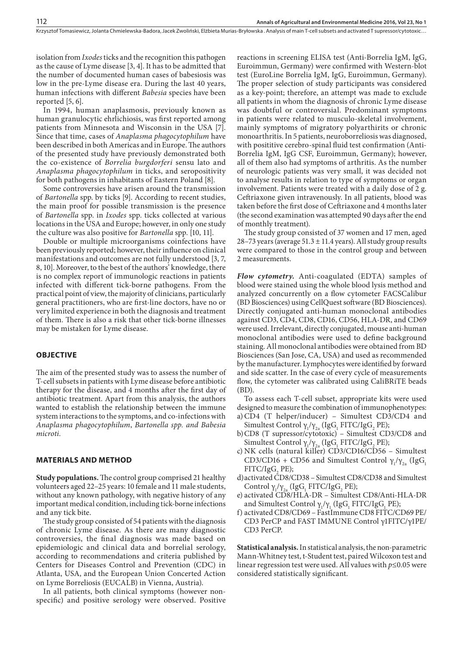isolation from *Ixodes* ticks and the recognition this pathogen as the cause of Lyme disease [3, 4]. It has to be admitted that the number of documented human cases of babesiosis was low in the pre-Lyme disease era. During the last 40 years, human infections with different *Babesia* species have been reported [5, 6].

In 1994, human anaplasmosis, previously known as human granulocytic ehrlichiosis, was first reported among patients from Minnesota and Wisconsin in the USA [7]. Since that time, cases of *Anaplasma phagocytophilum* have been described in both Americas and in Europe. The authors of the presented study have previously demonstrated both the co-existence of *Borrelia burgdorferi* sensu lato and *Anaplasma phagocytophilum* in ticks, and seropositivity for both pathogens in inhabitants of Eastern Poland [8].

Some controversies have arisen around the transmission of *Bartonella* spp. by ticks [9]. According to recent studies, the main proof for possible transmission is the presence of *Bartonella* spp. in *Ixodes* spp. ticks collected at various locations in the USA and Europe; however, in only one study the culture was also positive for *Bartonella* spp. [10, 11].

Double or multiple microorganisms coinfections have been previously reported; however, their influence on clinical manifestations and outcomes are not fully understood [3, 7, 8, 10]. Moreover, to the best of the authors' knowledge, there is no complex report of immunologic reactions in patients infected with different tick-borne pathogens. From the practical point of view, the majority of clinicians, particularly general practitioners, who are first-line doctors, have no or very limited experience in both the diagnosis and treatment of them. There is also a risk that other tick-borne illnesses may be mistaken for Lyme disease.

## **OBJECTIVE**

The aim of the presented study was to assess the number of T-cell subsets in patients with Lyme disease before antibiotic therapy for the disease, and 4 months after the first day of antibiotic treatment. Apart from this analysis, the authors wanted to establish the relationship between the immune system interactions to the symptoms, and co-infections with *Anaplasma phagocytophilum*, *Bartonella spp. and Babesia microti.*

## **MATERIALS AND METHOD**

**Study populations.** The control group comprised 21 healthy volunteers aged 22–25 years: 10 female and 11 male students, without any known pathology, with negative history of any important medical condition, including tick-borne infections and any tick bite.

The study group consisted of 54 patients with the diagnosis of chronic Lyme disease. As there are many diagnostic controversies, the final diagnosis was made based on epidemiologic and clinical data and borrelial serology, according to recommendations and criteria published by Centers for Diseases Control and Prevention (CDC) in Atlanta, USA, and the European Union Concerted Action on Lyme Borreliosis (EUCALB) in Vienna, Austria).

In all patients, both clinical symptoms (however nonspecific) and positive serology were observed. Positive reactions in screening ELISA test (Anti-Borrelia IgM, IgG, Euroimmun, Germany) were confirmed with Western-blot test (EuroLine Borrelia IgM, IgG, Euroimmun, Germany). The proper selection of study participants was considered as a key-point; therefore, an attempt was made to exclude all patients in whom the diagnosis of chronic Lyme disease was doubtful or controversial. Predominant symptoms in patients were related to musculo-skeletal involvement, mainly symptoms of migratory polyarthirits or chronic monoarthritis. In 5 patients, neuroborreliosis was diagnosed, with posititive cerebro-spinal fluid test confirmation (Anti-Borrelia IgM, IgG CSF, Euroimmun, Germany); however, all of them also had symptoms of arthritis. As the number of neurologic patients was very small, it was decided not to analyse results in relation to type of symptoms or organ involvement. Patients were treated with a daily dose of 2 g. Ceftriaxone given intravenously. In all patients, blood was taken before the first dose of Ceftriaxone and 4 months later (the second examination was attempted 90 days after the end of monthly treatment).

The study group consisted of 37 women and 17 men, aged 28–73 years (average  $51.3 \pm 11.4$  years). All study group results were compared to those in the control group and between 2 measurements.

*Flow cytometry.* Anti-coagulated (EDTA) samples of blood were stained using the whole blood lysis method and analyzed concurrently on a flow cytometer FACSCalibur (BD Biosciences) using CellQuest software (BD Biosciences). Directly conjugated anti-human monoclonal antibodies against CD3, CD4, CD8, CD16, CD56, HLA-DR, and CD69 were used. Irrelevant, directly conjugated, mouse anti-human monoclonal antibodies were used to define background staining. All monoclonal antibodies were obtained from BD Biosciences (San Jose, CA, USA) and used as recommended by the manufacturer. Lymphocytes were identified by forward and side scatter. In the case of every cycle of measurements flow, the cytometer was calibrated using CaliBRiTE beads (BD).

To assess each T-cell subset, appropriate kits were used designed to measure the combination of immunophenotypes: a)CD4 (T helper/inducer) – Simultest CD3/CD4 and

- Simultest Control  $\gamma_1/\gamma_{2a}$  (IgG<sub>1</sub> FITC/IgG<sub>2</sub> PE); b)CD8 (T supressor/cytotoxic) – Simultest CD3/CD8 and Simultest Control  $\gamma_1/\gamma_{2a}$  (IgG<sub>1</sub> FITC/IgG<sub>2</sub> PE);
- c) NK cells (natural killer) CD3/CD16/CD56 Simultest CD3/CD16 + CD56 and Simultest Control  $\gamma_1/\gamma_{2a}$  (IgG<sub>1</sub>  $FITC/IgG<sub>2</sub>PE);$
- d)activated CD8/CD38 Simultest CD8/CD38 and Simultest Control  $\gamma_1/\gamma_{2a}$  (IgG<sub>1</sub> FITC/IgG<sub>2</sub> PE);
- e) activated CD8/HLA-DR Simultest CD8/Anti-HLA-DR and Simultest Control  $\gamma_1/\gamma_1$  (IgG<sub>1</sub> FITC/IgG<sub>1</sub> PE);
- f) activated CD8/CD69 FastImmune CD8 FITC/CD69 PE/ CD3 PerCP and FAST IMMUNE Control γ1FITC/γ1PE/ CD3 PerCP.

**Statistical analysis.** In statistical analysis, the non-parametric Mann-Whitney test, t-Student test, paired Wilcoxon test and linear regression test were used. All values with *p*≤0.05 were considered statistically significant.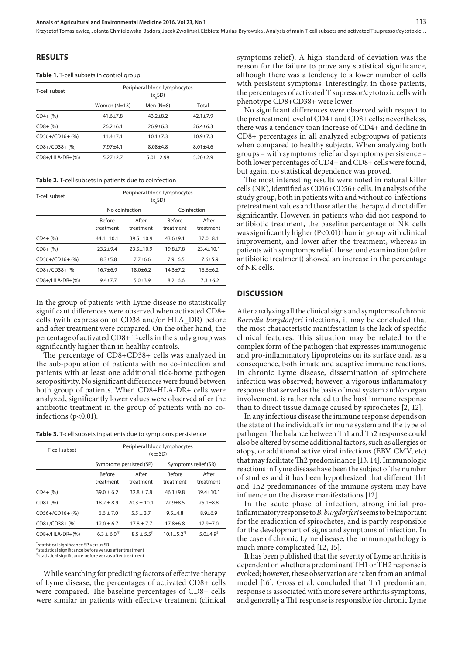Krzysztof Tomasiewicz, Jolanta Chmielewska-Badora, Jacek Zwoliński, Elżbieta Murias-Bryłowska . Analysis of main T-cell subsets and activated T supressor/cytotoxic…

## **RESULTS**

#### **Table 1.** T-cell subsets in control group

| T-cell subset     | Peripheral blood lymphocytes<br>(x, SD) |               |              |  |
|-------------------|-----------------------------------------|---------------|--------------|--|
|                   | Women $(N=13)$                          | Men $(N=8)$   | Total        |  |
| $CD4+ (%)$        | $41.6 + 7.8$                            | $43.2 + 8.2$  | $42.1 + 7.9$ |  |
| $CD8 + (%)$       | $26.2 + 6.1$                            | $26.9 + 6.3$  | $26.4 + 6.3$ |  |
| CD56+/CD16+ (%)   | $11.4 + 7.1$                            | $10.1 + 7.3$  | $10.9 + 7.3$ |  |
| $CD8+/CD38+$ (%)  | $7.97 + 4.1$                            | $8.08 + 4.8$  | $8.01 + 4.6$ |  |
| $CD8+/HLA-DR+(%)$ | $5.27 + 2.7$                            | $5.01 + 2.99$ | $5.20 + 2.9$ |  |

**Table 2.** T-cell subsets in patients due to coinfection

| T-cell subset     | Peripheral blood lymphocytes<br>(x, SD) |                    |                            |                    |  |
|-------------------|-----------------------------------------|--------------------|----------------------------|--------------------|--|
|                   | No coinfection                          |                    | Coinfection                |                    |  |
|                   | <b>Before</b><br>treatment              | After<br>treatment | <b>Before</b><br>treatment | After<br>treatment |  |
| $CD4+ (%)$        | $44.1 + 10.1$                           | $39.5 + 10.9$      | $43.6 + 9.1$               | $37.0 + 8.1$       |  |
| $CD8 + (%)$       | $23.2 + 9.4$                            | $23.5 + 10.9$      | $19.8 + 7.8$               | $23.4 + 10.1$      |  |
| CD56+/CD16+ (%)   | $8.3 + 5.8$                             | $7.7 + 6.6$        | $7.9 + 6.5$                | $7.6 + 5.9$        |  |
| CD8+/CD38+ (%)    | $16.7 + 6.9$                            | $18.0 + 6.2$       | $14.3 + 7.2$               | $16.6 + 6.2$       |  |
| $CD8+/HLA-DR+(%)$ | $9.4 + 7.7$                             | $5.0 + 3.9$        | $8.2 + 6.6$                | $7.3 + 6.2$        |  |

In the group of patients with Lyme disease no statistically significant differences were observed when activated CD8+ cells (with expression of CD38 and/or HLA\_DR) before and after treatment were compared. On the other hand, the percentage of activated CD8+ T-cells in the study group was significantly higher than in healthy controls.

The percentage of CD8+CD38+ cells was analyzed in the sub-population of patients with no co-infection and patients with at least one additional tick-borne pathogen seropositivity. No significant differences were found between both group of patients. When CD8+HLA-DR+ cells were analyzed, significantly lower values were observed after the antibiotic treatment in the group of patients with no coinfections (p<0.01).

| T-cell subset     | Peripheral blood lymphocytes<br>$(x \pm SD)$ |                    |                            |                           |  |
|-------------------|----------------------------------------------|--------------------|----------------------------|---------------------------|--|
|                   | Symptoms persisted (SP)                      |                    | Symptoms relief (SR)       |                           |  |
|                   | <b>Before</b><br>treatment                   | After<br>treatment | <b>Before</b><br>treatment | After<br>treatment        |  |
| $CD4+ (%)$        | $39.0 + 6.2$                                 | $32.8 + 7.8$       | $46.1 + 9.8$               | $39.4 + 10.1$             |  |
| $CD8 + (%)$       | $18.2 + 8.9$                                 | $20.3 \pm 10.1$    | $22.9 + 8.5$               | $25.1 + 8.8$              |  |
| CD56+/CD16+ (%)   | $6.6 + 7.0$                                  | $5.5 + 3.7$        | $9.5 + 4.8$                | $8.9 + 6.9$               |  |
| CD8+/CD38+ (%)    | $12.0 + 6.7$                                 | $17.8 \pm 7.7$     | $17.8 + 6.8$               | $17.9 + 7.0$              |  |
| $CD8+/HLA-DR+(%)$ | $6.3 \pm 6.0^{*}$                            | $8.5 + 5.5^*$      | $10.1 + 5.2^{5}$           | $5.0 + 4.9$ <sup>\$</sup> |  |

statistical significance SP versus SR

statistical significance before versus after treatment <sup>\$</sup> statistical significance before versus after treatment

While searching for predicting factors of effective therapy of Lyme disease, the percentages of activated CD8+ cells were compared. The baseline percentages of CD8+ cells were similar in patients with effective treatment (clinical

symptoms relief). A high standard of deviation was the reason for the failure to prove any statistical significance, although there was a tendency to a lower number of cells with persistent symptoms. Interestingly, in those patients, the percentages of activated T supressor/cytotoxic cells with phenotype CD8+CD38+ were lower.

No significant differences were observed with respect to the pretreatment level of CD4+ and CD8+ cells; nevertheless, there was a tendency toan increase of CD4+ and decline in CD8+ percentages in all analyzed subgroupws of patients when compared to healthy subjects. When analyzing both groups – with symptoms relief and symptoms persistence – both lower percentages of CD4+ and CD8+ cells were found, but again, no statistical dependence was proved.

The most interesting results were noted in natural killer cells (NK), identified as CD16+CD56+ cells. In analysis of the study group, both in patients with and without co-infections pretreatment values and those after the therapy, did not differ significantly. However, in patients who did not respond to antibiotic treatment, the baseline percentage of NK cells was significantly higher (P<0.01) than in group with clinical improvement, and lower after the treatment, whereas in patients with symptomps relief, the second examination (after antibiotic treatment) showed an increase in the percentage of NK cells.

#### **DISCUSSION**

After analyzing all the clinical signs and symptoms of chronic *Borrelia burgdorferi* infections, it may be concluded that the most characteristic manifestation is the lack of specific clinical features. This situation may be related to the complex form of the pathogen that expresses immunogenic and pro-inflammatory lipoproteins on its surface and, as a consequence, both innate and adaptive immune reactions. In chronic Lyme disease, dissemination of spirochete infection was observed; however, a vigorous inflammatory response that served as the basis of most system and/or organ involvement, is rather related to the host immune response than to direct tissue damage caused by spirochetes [2, 12].

In any infectious disease the immune response depends on the state of the individual's immune system and the type of pathogen. The balance between Th1 and Th2 response could also be altered by some additional factors, such as allergies or atopy, or additional active viral infections (EBV, CMV, etc) that may facilitate Th2 predominance [13, 14]. Immunologic reactions in Lyme disease have been the subject of the number of studies and it has been hypothesized that different Th1 and Th2 predominances of the immune system may have influence on the disease manifestations [12].

In the acute phase of infection, strong initial proinflammatory response to *B. burgdorferi* seems to be important for the eradication of spirochetes, and is partly responsible for the development of signs and symptoms of infection. In the case of chronic Lyme disease, the immunopathology is much more complicated [12, 15].

It has been published that the severity of Lyme arthritis is dependent on whether a predominant TH1 or TH2 response is evoked; however, these observation are taken from an animal model [16]. Gross et al. concluded that Th1 predominant response is associated with more severe arthritis symptoms, and generally a Th1 response is responsible for chronic Lyme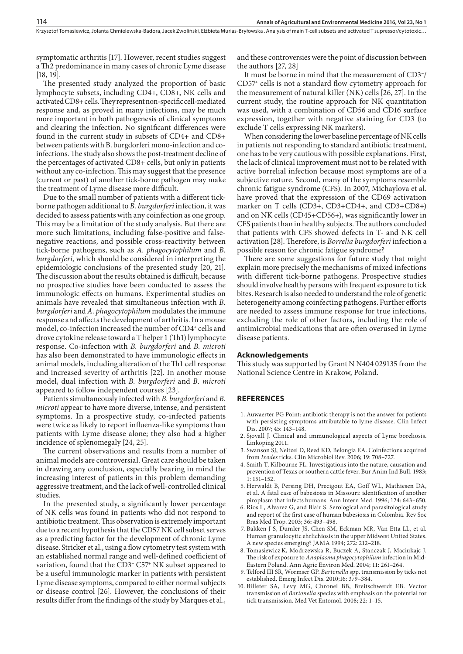symptomatic arthritis [17]. However, recent studies suggest a Th2 predominance in many cases of chronic Lyme disease [18, 19].

The presented study analyzed the proportion of basic lymphocyte subsets, including CD4+, CD8+, NK cells and activated CD8+ cells. They represent non-specific cell-mediated response and, as proved in many infections, may be much more important in both pathogenesis of clinical symptoms and clearing the infection. No significant differences were found in the current study in subsets of CD4+ and CD8+ between patients with B. burgdorferi mono-infection and coinfections. The study also shows the post-treatment decline of the percentages of activated CD8+ cells, but only in patients without any co-infection. This may suggest that the presence (current or past) of another tick-borne pathogen may make the treatment of Lyme disease more difficult.

Due to the small number of patients with a different tickborne pathogen additional to *B. burgdorferi* infection, it was decided to assess patients with any coinfection as one group. This may be a limitation of the study analysis. But there are more such limitations, including false-positive and falsenegative reactions, and possible cross-reactivity between tick-borne pathogens, such as *A. phagocytophilum* and *B. burgdorferi,* which should be considered in interpreting the epidemiologic conclusions of the presented study [20, 21]. The discussion about the results obtained is difficult, because no prospective studies have been conducted to assess the immunologic effects on humans. Experimental studies on animals have revealed that simultaneous infection with *B. burgdorferi* and *A. phagocytophilum* modulates the immune response and affects the development of arthritis. In a mouse model, co-infection increased the number of CD4<sup>+</sup> cells and drove cytokine release toward a T helper 1 (Th1) lymphocyte response. Co-infection with *B. burgdorferi* and *B. microti* has also been demonstrated to have immunologic effects in animal models, including alteration of the Th1 cell response and increased severity of arthritis [22]. In another mouse model, dual infection with *B. burgdorferi* and *B. microti* appeared to follow independent courses [23].

Patients simultaneously infected with *B. burgdorferi* and *B. microti* appear to have more diverse, intense, and persistent symptoms. In a prospective study, co-infected patients were twice as likely to report influenza-like symptoms than patients with Lyme disease alone; they also had a higher incidence of splenomegaly [24, 25].

The current observations and results from a number of animal models are controversial. Great care should be taken in drawing any conclusion, especially bearing in mind the increasing interest of patients in this problem demanding aggressive treatment, and the lack of well-controlled clinical studies.

In the presented study, a significantly lower percentage of NK cells was found in patients who did not respond to antibiotic treatment. This observation is extremely important due to a recent hypothesis that the CD57 NK cell subset serves as a predicting factor for the development of chronic Lyme disease. Stricker et al., using a flow cytometry test system with an established normal range and well-defined coefficient of variation, found that the CD3− C57+ NK subset appeared to be a useful immunologic marker in patients with persistent Lyme disease symptoms, compared to either normal subjects or disease control [26]. However, the conclusions of their results differ from the findings of the study by Marques et al.,

and these controversies were the point of discussion between the authors [27, 28]

It must be borne in mind that the measurement of CD3−/ CD57+ cells is not a standard flow cytometry approach for the measurement of natural killer (NK) cells [26, 27]. In the current study, the routine approach for NK quantitation was used, with a combination of CD56 and CD16 surface expression, together with negative staining for CD3 (to exclude T cells expressing NK markers).

When considering the lower baseline percentage of NK cells in patients not responding to standard antibiotic treatment, one has to be very cautious with possible explanations. First, the lack of clinical improvement must not to be related with active borrelial infection because most symptoms are of a subjective nature. Second, many of the symptoms resemble chronic fatigue syndrome (CFS). In 2007, Michaylova et al. have proved that the expression of the CD69 activation marker on T cells (CD3+, CD3+CD4+, and CD3+CD8+) and on NK cells (CD45+CD56+), was significantly lower in CFS patients than in healthy subjects. The authors concluded that patients with CFS showed defects in T- and NK cell activation [28]. Therefore, is *Borrelia burgdorferi* infection a possible reason for chronic fatigue syndrome?

There are some suggestions for future study that might explain more precisely the mechanisms of mixed infections with different tick-borne pathogens. Prospective studies should involve healthy persons with frequent exposure to tick bites. Research is also needed to understand the role of genetic heterogeneity among coinfecting pathogens. Further efforts are needed to assess immune response for true infections, excluding the role of other factors, including the role of antimicrobial medications that are often overused in Lyme disease patients.

#### **Acknowledgements**

This study was supported by Grant N N404 029135 from the National Science Centre in Krakow, Poland.

## **REFERENCES**

- 1. Auwaerter PG Point: antibiotic therapy is not the answer for patients with persisting symptoms attributable to lyme disease. Clin Infect Dis. 2007; 45: 143–148.
- 2. Sjovall J. Clinical and immunological aspects of Lyme boreliosis. Linkoping 2011.
- 3. Swanson SJ, Neitzel D, Reed KD, Belongia EA. Coinfections acquired from *Ixodes* ticks. Clin Microbiol Rev. 2006; 19: 708–727.
- 4. Smith T, Kilbourne FL. Investigations into the nature, causation and prevention of Texas or southern cattle fever. Bur Anim Ind Bull. 1983; 1: 151–152.
- 5. Herwaldt B, Persing DH, Precigout EA, Goff WL, Mathiesen DA, et al. A fatal case of babesiosis in Missouri: identification of another piroplasm that infects humans. Ann Intern Med. 1996; 124: 643*–*650.
- 6. Rios L, Alvarez G, and Blair S. Serological and parasitological study and report of the first case of human babesiosis in Colombia*.* Rev Soc Bras Med Trop. 2003; 36**:** 493–498.
- 7. Bakken J S, Dumler JS, Chen SM, Eckman MR, Van Etta LL, et al*.*  Human granulocytic ehrlichiosis in the upper Midwest United States. A new species emerging? JAMA 1994; 272: 212*–*218.
- 8. Tomasiewicz K, Modrzewska R, Buczek A, Stanczak J, Maciukajc J. The risk of exposure to *Anaplasma phagocytophilum* infection in Mid-Eastern Poland. Ann Agric Environ Med. 2004; 11: 261–264.
- 9. Telford III SR, Wormser GP. *Bartonella* spp. transmission by ticks not established. Emerg Infect Dis. 2010;16: 379–384.
- 10. Billeter SA, Levy MG, Chronel BB, Breitschwerdt EB. Vector transmission of *Bartonella* species with emphasis on the potential for tick transmission. Med Vet Entomol. 2008; 22: 1–15.